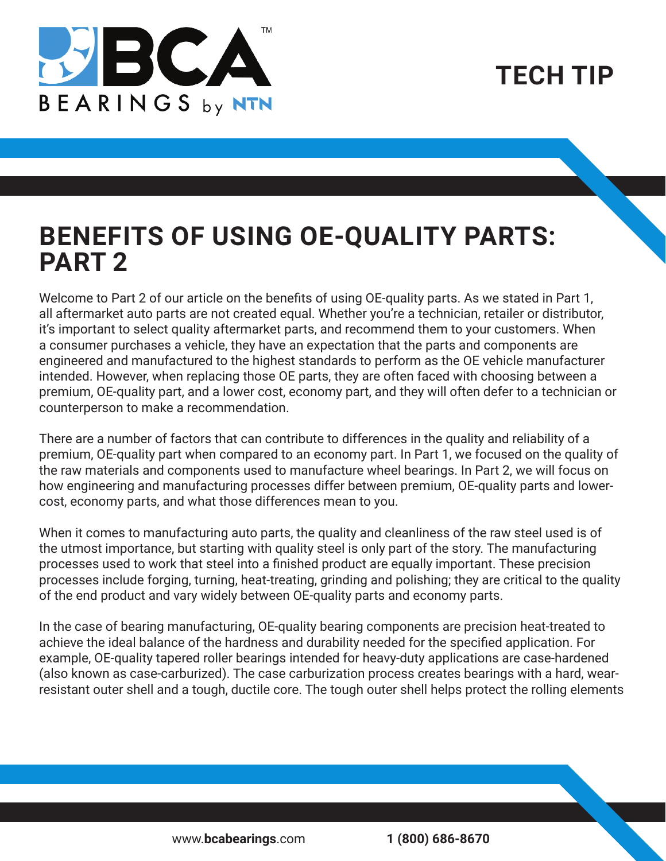

**TECH TIP**

## **BENEFITS OF USING OE-QUALITY PARTS: PART 2**

Welcome to Part 2 of our article on the benefits of using OE-quality parts. As we stated in Part 1, all aftermarket auto parts are not created equal. Whether you're a technician, retailer or distributor, it's important to select quality aftermarket parts, and recommend them to your customers. When a consumer purchases a vehicle, they have an expectation that the parts and components are engineered and manufactured to the highest standards to perform as the OE vehicle manufacturer intended. However, when replacing those OE parts, they are often faced with choosing between a premium, OE-quality part, and a lower cost, economy part, and they will often defer to a technician or counterperson to make a recommendation.

There are a number of factors that can contribute to differences in the quality and reliability of a premium, OE-quality part when compared to an economy part. In Part 1, we focused on the quality of the raw materials and components used to manufacture wheel bearings. In Part 2, we will focus on how engineering and manufacturing processes differ between premium, OE-quality parts and lowercost, economy parts, and what those differences mean to you.

When it comes to manufacturing auto parts, the quality and cleanliness of the raw steel used is of the utmost importance, but starting with quality steel is only part of the story. The manufacturing processes used to work that steel into a finished product are equally important. These precision processes include forging, turning, heat-treating, grinding and polishing; they are critical to the quality of the end product and vary widely between OE-quality parts and economy parts.

In the case of bearing manufacturing, OE-quality bearing components are precision heat-treated to achieve the ideal balance of the hardness and durability needed for the specified application. For example, OE-quality tapered roller bearings intended for heavy-duty applications are case-hardened (also known as case-carburized). The case carburization process creates bearings with a hard, wearresistant outer shell and a tough, ductile core. The tough outer shell helps protect the rolling elements

www.**bcabearings**.com **1 (800) 686-8670**